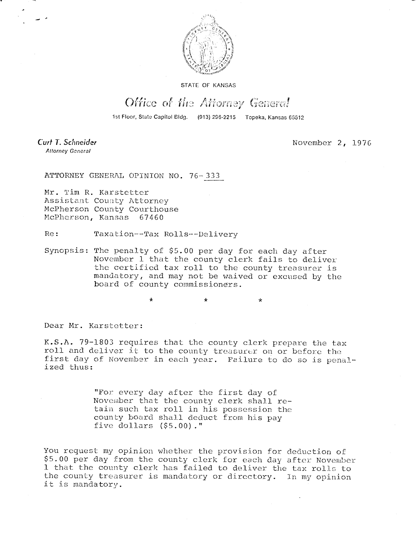

**STATE OF KANSAS** 

## Office of the Attorney General

1st Floor, State Capitol Bldg. (913) 296-2215 Topeka, Kansas 66612

Curt T. Schneider Attorney General

November 2, 1976

ATTORNEY GENERAL OPINION NO. 76-333

Mr. Tim R. Karstetter Assistant County Attorney McPherson County Courthouse McPherson, Kansas 67460

Re: Taxation--Tax Rolls--Delivery

Synopsis: The penalty of \$5.00 per day for each day after November 1 that the county clerk fails to deliver the certified tax roll to the county treasurer is mandatory, and may not be waived or excused by the board of county commissioners.

> $\ddot{\textbf{r}}$ ÷

Dear Mr. Karstetter:

K.S.A. 79-1803 requires that the county clerk prepare the tax roll and deliver it to the county treasurer on or before the first day of November in each year. Failure to do so is penalized thus:

> "For every day after the first day of November that the county clerk shall retain such tax roll in his possession the county board shall deduct from his pay five dollars (\$5.00)."

You request my opinion whether the provision for deduction of \$5.00 per day from the county clerk for each day after November 1 that the county clerk has failed to deliver the tax rolls to the county treasurer is mandatory or directory. In my opinion it is mandatory.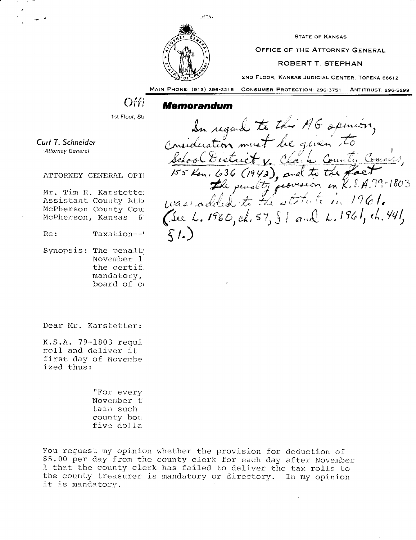

**STATE OF KANSAS** 

OFFICE OF THE ATTORNEY GENERAL

## **ROBERT T. STEPHAN**

2ND FLOOR, KANSAS JUDICIAL CENTER, TOPEKA 66612

MAIN PHONE: (913) 296-2215 **CONSUMER PROTECTION: 296-3751 ANTITRUST: 296-5299** 

## Offi

## Memorandum

1st Floor, Sta

Curt T. Schneider Attorney General

ATTORNEY GENERAL OPI

Mr. Tim R. Karstette: Assistant County Att McPherson County Cou McPherson, Kansas 6

Re: Taxation---'

Synopsis: The penalt November 1 the certif. mandatory, board of c

Dear Mr. Karstetter:

K.S.A. 79-1803 requi roll and deliver it first day of November ized thus:

> "For every November t tain such county boa five dolla

You request my opinion whether the provision for deduction of \$5.00 per day from the county clerk for each day after November 1 that the county clerk has failed to deliver the tax rolls to the county treasurer is mandatory or directory. In my opinion it is mandatory.

In regard to this AG opinion,<br>Consideration must be given to<br>School Exstrict v. Clark County Commers,<br>155 Kon. 636 (1942), and to the Pact<br>the penalty provision in K.S.A. 19-1803<br>Was added to the statute in 1961. (See L. 1960, ch. 57,  $\S$  ) and L. 1961, ch. 441,  $\Sigma_L$ )